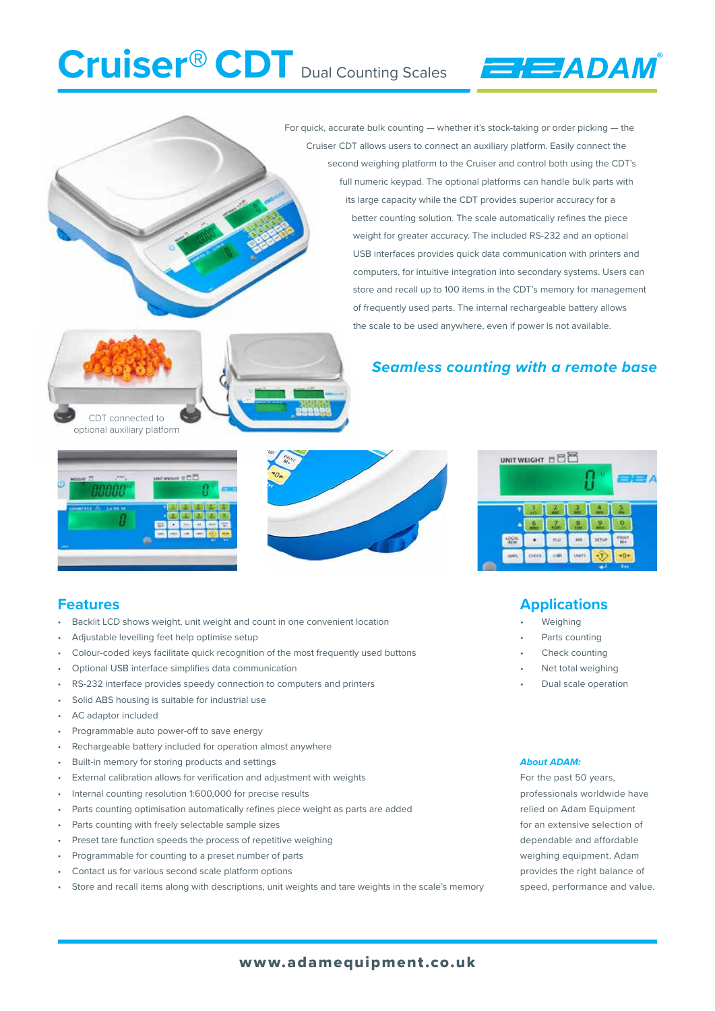# Cruiser<sup>®</sup> CDT Dual Counting Scales

For quick, accurate bulk counting — whether it's stock-taking or order picking — the Cruiser CDT allows users to connect an auxiliary platform. Easily connect the second weighing platform to the Cruiser and control both using the CDT's full numeric keypad. The optional platforms can handle bulk parts with its large capacity while the CDT provides superior accuracy for a better counting solution. The scale automatically refines the piece weight for greater accuracy. The included RS-232 and an optional USB interfaces provides quick data communication with printers and computers, for intuitive integration into secondary systems. Users can store and recall up to 100 items in the CDT's memory for management of frequently used parts. The internal rechargeable battery allows the scale to be used anywhere, even if power is not available.



CDT connected to optional auxiliary platform



## *Seamless counting with a remote base*





## **Features**

- Backlit LCD shows weight, unit weight and count in one convenient location
- Adjustable levelling feet help optimise setup
- Colour-coded keys facilitate quick recognition of the most frequently used buttons
- Optional USB interface simplifies data communication
- RS-232 interface provides speedy connection to computers and printers
- Solid ABS housing is suitable for industrial use
- AC adaptor included
- Programmable auto power-off to save energy
- Rechargeable battery included for operation almost anywhere
- Built-in memory for storing products and settings
- External calibration allows for verification and adjustment with weights
- Internal counting resolution 1:600,000 for precise results
- Parts counting optimisation automatically refines piece weight as parts are added
- Parts counting with freely selectable sample sizes
- Preset tare function speeds the process of repetitive weighing
- Programmable for counting to a preset number of parts
- Contact us for various second scale platform options
- Store and recall items along with descriptions, unit weights and tare weights in the scale's memory



**EJEJADAM** 

## **Applications**

- **Weighing**
- Parts counting
- Check counting
- Net total weighing
- Dual scale operation

#### *About ADAM:*

For the past 50 years, professionals worldwide have relied on Adam Equipment for an extensive selection of dependable and affordable weighing equipment. Adam provides the right balance of speed, performance and value.